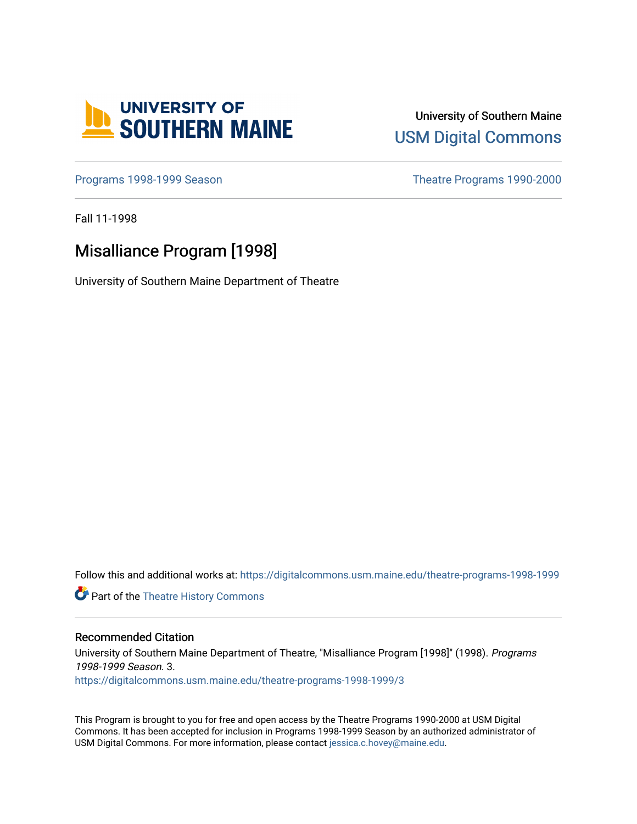

University of Southern Maine [USM Digital Commons](https://digitalcommons.usm.maine.edu/) 

[Programs 1998-1999 Season](https://digitalcommons.usm.maine.edu/theatre-programs-1998-1999) **Theatre Programs 1990-2000** 

Fall 11-1998

### Misalliance Program [1998]

University of Southern Maine Department of Theatre

Follow this and additional works at: [https://digitalcommons.usm.maine.edu/theatre-programs-1998-1999](https://digitalcommons.usm.maine.edu/theatre-programs-1998-1999?utm_source=digitalcommons.usm.maine.edu%2Ftheatre-programs-1998-1999%2F3&utm_medium=PDF&utm_campaign=PDFCoverPages) 

**Part of the [Theatre History Commons](http://network.bepress.com/hgg/discipline/553?utm_source=digitalcommons.usm.maine.edu%2Ftheatre-programs-1998-1999%2F3&utm_medium=PDF&utm_campaign=PDFCoverPages)** 

#### Recommended Citation

University of Southern Maine Department of Theatre, "Misalliance Program [1998]" (1998). Programs 1998-1999 Season. 3. [https://digitalcommons.usm.maine.edu/theatre-programs-1998-1999/3](https://digitalcommons.usm.maine.edu/theatre-programs-1998-1999/3?utm_source=digitalcommons.usm.maine.edu%2Ftheatre-programs-1998-1999%2F3&utm_medium=PDF&utm_campaign=PDFCoverPages) 

This Program is brought to you for free and open access by the Theatre Programs 1990-2000 at USM Digital Commons. It has been accepted for inclusion in Programs 1998-1999 Season by an authorized administrator of USM Digital Commons. For more information, please contact [jessica.c.hovey@maine.edu](mailto:ian.fowler@maine.edu).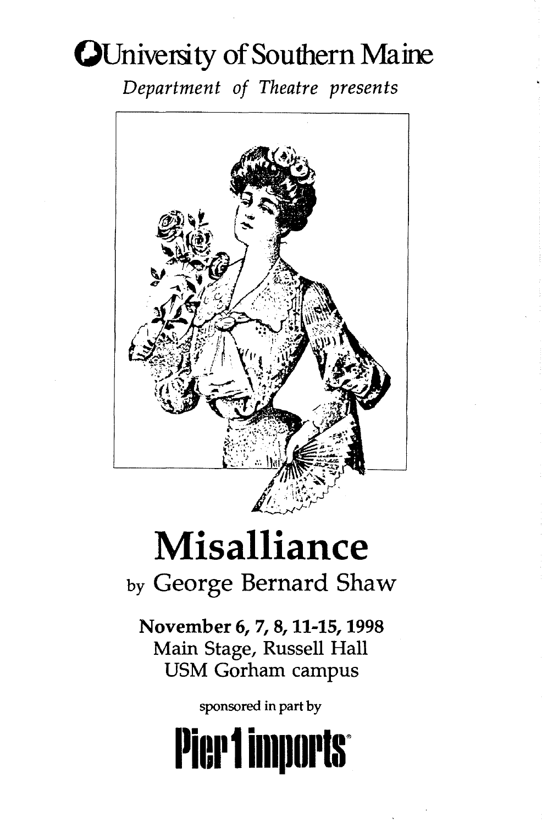## **OUniversity of Southern Maine**

*Department of Theatre presents* 



# **Misalliance**

by George Bernard Shaw

November 6, 7, 8, 11-15, 1998 Main Stage, Russell Hall USM Gorham campus

sponsored in part by

# **Pier 1 imports**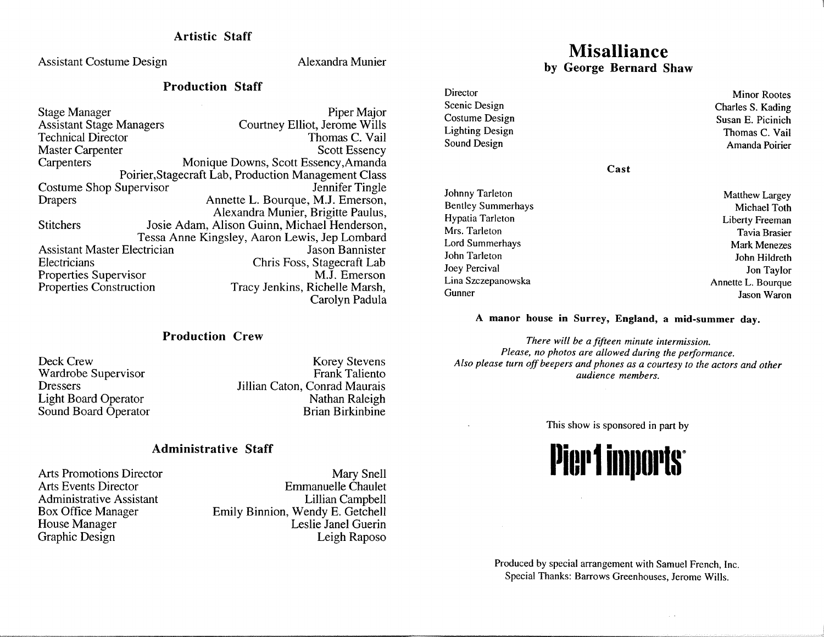Artistic Staff

Assistant Costume Design Alexandra Munier

#### Production Staff

| <b>Stage Manager</b>                | Piper Major                                          |
|-------------------------------------|------------------------------------------------------|
| <b>Assistant Stage Managers</b>     | Courtney Elliot, Jerome Wills                        |
| <b>Technical Director</b>           | Thomas C. Vail                                       |
| <b>Master Carpenter</b>             | <b>Scott Essency</b>                                 |
| Carpenters                          | Monique Downs, Scott Essency, Amanda                 |
|                                     | Poirier, Stagecraft Lab, Production Management Class |
| Costume Shop Supervisor             | Jennifer Tingle                                      |
| <b>Drapers</b>                      | Annette L. Bourque, M.J. Emerson,                    |
|                                     | Alexandra Munier, Brigitte Paulus,                   |
| <b>Stitchers</b>                    | Josie Adam, Alison Guinn, Michael Henderson,         |
|                                     | Tessa Anne Kingsley, Aaron Lewis, Jep Lombard        |
| <b>Assistant Master Electrician</b> | Jason Bannister                                      |
| Electricians                        | Chris Foss, Stagecraft Lab                           |
| Properties Supervisor               | M.J. Emerson                                         |
| Properties Construction             | Tracy Jenkins, Richelle Marsh,                       |
|                                     | Carolyn Padula                                       |

#### Production Crew

Deck Crew Wardrobe Supervisor **Dressers** Light Board Operator Sound Board Operator

Korey Stevens Frank Taliento Jillian Caton, Conrad Maurais Nathan Raleigh Brian Birkinbine

#### Administrative Staff

Arts Promotions Director Arts Events Director Administrative Assistant Box Office Manager House Manager Graphic Design

Mary Snell Emmanuelle Chaulet Lillian Campbell Emily Binnion, Wendy E. Getchell Leslie Janel Guerin Leigh Raposo

## **Misalliance**

by George Bernard Shaw

Director Scenic Design Costume Design Lighting Design Sound Design Minor Rootes Charles S. Kading Susan E. Picinich Thomas C. Vail Amanda Poirier

Cast

Johnny Tarleton Bentley Summerhays Hypatia Tarleton Mrs. Tarleton Lord Summerhays John Tarleton Joey Percival Lina Szczepanowska Gunner

Matthew Largey Michael Toth Liberty Freeman Tavia Brasier Mark Menezes John Hildreth Jon Taylor Annette L. Bourque Jason Waron

#### A manor house in Surrey, England, a mid-summer day.

*There will be a fifteen minute intermission. Please, no photos are allowed during the performance. Also please turn off beepers and phones as a courtesy to the actors and other audience members.* 

This show is sponsored in part by



Produced by special arrangement with Samuel French, Inc. Special Thanks: Barrows Greenhouses, Jerome Wills.

 $\chi$  .  $\chi$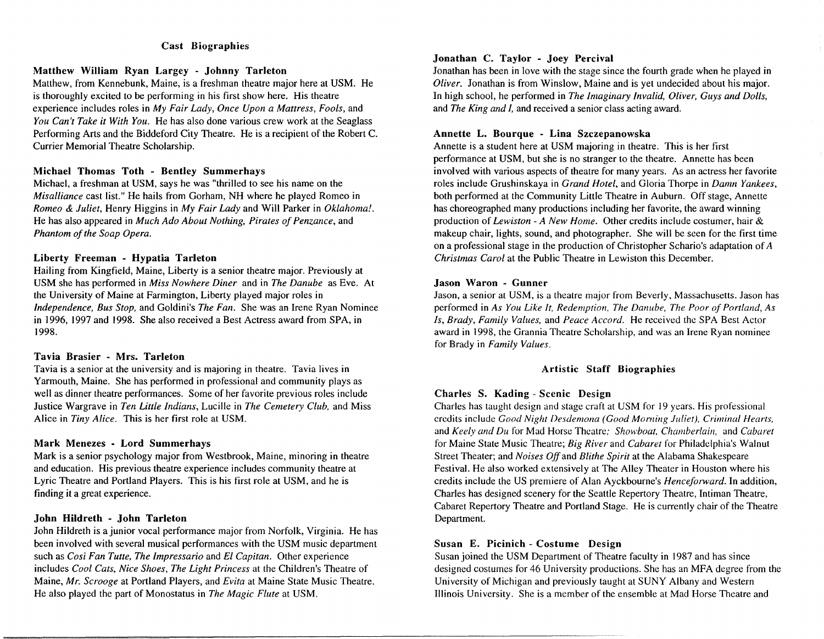#### Cast Biographies

#### Matthew William Ryan Largey - Johnny Tarleton

Matthew, from Kennebunk, Maine, is a freshman theatre major here at USM. He is thoroughly excited to be performing in his first show here. His theatre experience includes roles in *My Fair Lady, Once Upon a Mattress, Fools,* and *You Can't Take it With You.* He has also done various crew work at the Seaglass Performing Arts and the Biddeford City Theatre. He is a recipient of the Robert C. Currier Memorial Theatre Scholarship.

#### Michael Thomas Toth - Bentley Summerhays

Michael, a freshman at USM, says he was "thrilled to see his name on the *Misalliance* cast list." He hails from Gorham, NH where he played Romeo in *Romeo* & *Juliet,* Henry Higgins in *My Fair Lady* and Will Parker in *Oklahoma!.*  He has also appeared in *Much Ado About Nothing, Pirates of Penzance*, and *Phantom of the Soap Opera.* 

#### Liberty Freeman - Hypatia Tarleton

Hailing from Kingfield, Maine, Liberty is a senior theatre major. Previously at USM she has performed in *Miss Nowhere Diner* and in *The Danube* as Eve. At the University of Maine at Farmington, Liberty played major roles in *Independence, Bus Stop,* and Goldini's *The Fan.* She was an Irene Ryan Nominee in 1996, 1997 and 1998. She also received a Best Actress award from SPA, in 1998.

#### Tavia Brasier - Mrs. Tarleton

Tavia is a senior at the university and is majoring in theatre. Tavia lives in Yarmouth, Maine. She has performed in professional and community plays as well as dinner theatre performances. Some of her favorite previous roles include Justice Wargrave in *Ten Little India11s,* Lucille in *The Cemetery Club,* and Miss Alice in *Tiny Alice.* This is her first role at USM.

#### Mark Menezes - Lord Summerhays

Mark is a senior psychology major from Westbrook, Maine, minoring in theatre and education. His previous theatre experience includes community theatre at Lyric Theatre and Portland Players. This is his first role at USM, and he is finding it a great experience.

#### John Hildreth - John Tarleton

John Hildreth is a junior vocal performance major from Norfolk, Virginia. He has been involved with several musical performances with the USM music department such as *Cosi Fan Tutte, The lmpressario* and *El Capitan.* Other experience includes *Cool Cats, Nice Shoes, The Light Princess* at the Children's Theatre of Maine, *Mr. Scrooge* at Portland Players, and *Evita* at Maine State Music Theatre. He also played the part of Monostatus in *The Magic Flute* at USM.

#### Jonathan C. Taylor - Joey Percival

Jonathan has been in love with the stage since the fourth grade when he played in *Oliver.* Jonathan is from Winslow, Maine and is yet undecided about his major. In high school, he performed in *The Imaginary Invalid, Oliver, Guys and Dolls,* and *The King and I,* and received a senior class acting award.

#### Annette L. Bourque - Lina Szczepanowska

Annette is a student here at USM majoring in theatre. This is her first performance at USM, but she is no stranger to the theatre. Annette has been involved with various aspects of theatre for many years. As an actress her favorite roles include Grushinskaya in *Grand Hotel*, and Gloria Thorpe in *Damn Yankees*, both performed at the Community Little Theatre in Auburn. Off stage, Annette has choreographed many productions including her favorite, the award winning production of *Lewiston - A New Home.* Other credits include costumer, hair & makeup chair, lights, sound, and photographer. She will be seen for the first time on a professional stage in the production of Christopher Schario's adaptation of *A Christmas Carol* at the Public Theatre in Lewiston this December.

#### Jason Waron - Gunner

Jason, a senior at USM, is a theatre major from Beverly, Massachusetts. Jason has performed in *As You Like It, Redemption, The Danube, The Poor of Portland, As ls, Brady, Family Values,* and *Peace Accord.* He received the SPA Best Actor award in 1998, the Grannia Theatre Scholarship, and was an Irene Ryan nominee for Brady in *Family Values.* 

#### Artistic Staff Biographies

#### Charles S. Kading - Scenic Design

Charles has taught design and stage craft at USM for 19 years. His professional credits include *Good Night Desdemona (Good Morning Juliet), Criminal Hearts,* and *Keely and Du* for Mad Horse Theatre; *Showboat, Chamberlain, and Cabaret* for Maine State Music Theatre; *Big River* and *Cabaret* for Philadelphia's Walnut Street Theater; and *Noises Off* and *Blithe Spirit* at the Alabama Shakespeare Festival. He also worked extensively at The Alley Theater in Houston where his credits include the US premiere of Alan Ayckbourne's *Henceforward.* In addition, Charles has designed scenery for the Seattle Repertory Theatre, Intiman Theatre, Cabaret Repertory Theatre and Portland Stage. He is currently chair of the Theatre Department.

#### Susan E. Picinich - Costume Design

Susan joined the USM Department of Theatre faculty in 1987 and has since designed costumes for 46 University productions. She has an MFA degree from the University of Michigan and previously taught at SUNY Albany and Western Illinois University. She is a member of the ensemble at Mad Horse Theatre and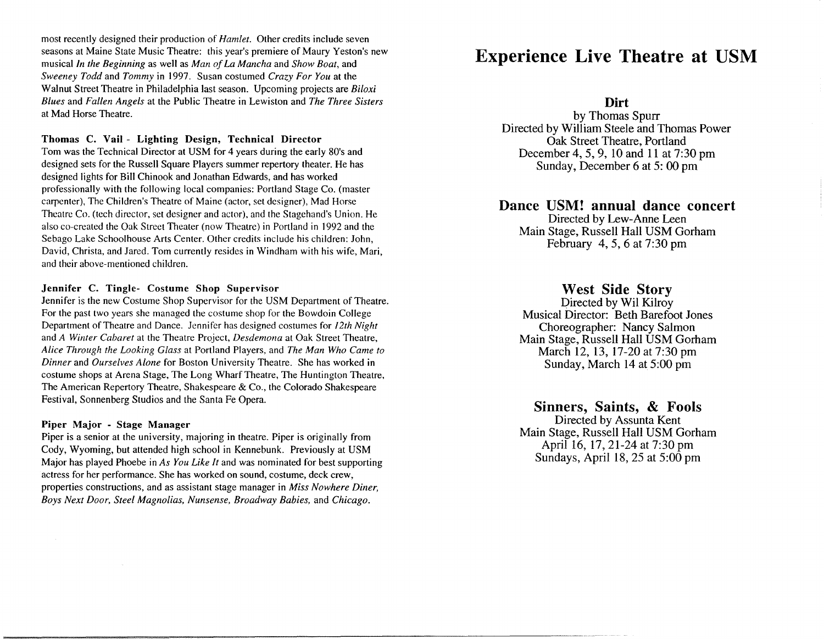most recently designed their production of *Hamlet.* Other credits include seven seasons at Maine State Music Theatre: this year's premiere of Maury Yeston's new musical *In the Beginning* as well as *Man of la Mancha* and *Show Boat,* and *Sweeney Todd* and *Tommy* in 1997. Susan costumed *Crazy For You* at the Walnut Street Theatre in Philadelphia last season. Upcoming projects are *Biloxi Blues* and *Fallen Angels* at the Public Theatre in Lewiston and *The Three Sisters*  at Mad Horse Theatre.

#### Thomas C. Vail - Lighting Design, Technical Director

Tom was the Technical Director at USM for 4 years during the early 80's and designed sets for the Russell Square Players summer repertory theater. He has designed lights for Bill Chinook and Jonathan Edwards, and has worked professionally with the following local companies: Portland Stage Co. (master carpenter), The Children's Theatre of Maine (actor, set designer), Mad Horse Theatre Co. (tech director, set designer and actor), and the Stagehand's Union. He also co-created the Oak Street Theater (now Theatre) in Portland in 1992 and the Sebago Lake Schoolhouse Arts Center. Other credits include his children: John, David, Christa, and Jared. Tom currently resides in Windham with his wife, Mari, and their above-mentioned children.

#### Jennifer C. Tingle- Costume Shop Supervisor

Jennifer is the new Costume Shop Supervisor for the USM Department of Theatre. For the past two years she managed the costume shop for the Bowdoin College Department of Theatre and Dance. Jennifer has designed costumes for *!2th Night*  and *A Winter Cabaret* at the Theatre Project, *Desdemona* at Oak Street Theatre, *Alice Through the looking Glass* at Portland Players, and *The Man Who Came to Dinner* and *Ourselves Alone* for Boston University Theatre. She has worked in costume shops at Arena Stage, The Long Wharf Theatre, The Huntington Theatre, The American Repertory Theatre, Shakespeare & Co., the Colorado Shakespeare Festival, Sonnenberg Studios and the Santa Fe Opera.

#### Piper Major - Stage Manager

Piper is a senior at the university, majoring in theatre. Piper is originally from Cody, Wyoming, but attended high school in Kennebunk. Previously at USM Major has played Phoebe in *As You like It* and was nominated for best supporting actress for her performance. She has worked on sound, costume, deck crew, properties constructions, and as assistant stage manager in *Miss Nowhere Diner, Boys Next Door, Steel Magnolias, Nunsense, Broadway Babies,* and *Chicago.* 

### **Experience Live Theatre at USM**

**Dirt** 

by Thomas Spurr Directed by William Steele and Thomas Power Oak Street Theatre, Portland December 4, 5, 9, 10 and 11 at 7:30 pm Sunday, December 6 at 5: 00 pm

#### **Dance USM! annual dance concert**

Directed by Lew-Anne Leen Main Stage, Russell Hall USM Gorham February 4, 5, 6 at 7:30 pm

#### **West Side Story**

Directed by Wil Kilroy Musical Director: Beth Barefoot Jones Choreographer: Nancy Salmon Main Stage, Russell Hall USM Gorham March 12, 13, 17-20 at 7:30 pm Sunday, March 14 at 5:00 pm

#### **Sinners, Saints, & Fools**

Directed by Assunta Kent Main Stage, Russell Hall USM Gorham April 16, 17, 21-24 at 7:30 pm Sundays, April 18, 25 at 5:00 pm